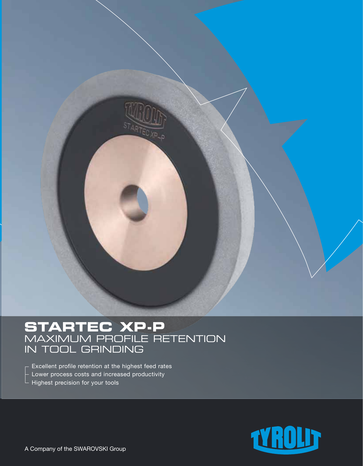

# **STARTEC XP-P** MAXIMUM PROFILE RETENTION IN TOOL GRINDING

- Excellent profile retention at the highest feed rates  $-$  Lower process costs and increased productivity
- Highest precision for your tools

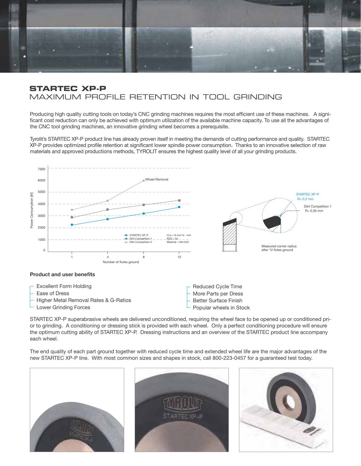

### **STARTEC XP-P**  MAXIMUM PROFILE RETENTION IN TOOL GRINDING

Producing high quality cutting tools on today's CNC grinding machines requires the most efficient use of these machines. A significant cost reduction can only be achieved with optimum utilization of the available machine capacity. To use all the advantages of the CNC tool grinding machines, an innovative grinding wheel becomes a prerequisite.

Tyrolit's STARTEC XP-P product line has already proven itself in meeting the demands of cutting performance and quality. STARTEC XP-P provides optimized profile retention at significant lower spindle power consumption. Thanks to an innovative selection of raw materials and approved productions methods, TYROLIT ensures the highest quality level of all your grinding products.



#### **Product and user benefits**



STARTEC XP-P superabrasive wheels are delivered unconditioned, requiring the wheel face to be opened up or conditioned prior to grinding. A conditioning or dressing stick is provided with each wheel. Only a perfect conditioning procedure will ensure the optimum cutting ability of STARTEC XP-P. Dressing instructions and an overview of the STARTEC product line accompany each wheel.

The end quality of each part ground together with reduced cycle time and extended wheel life are the major advantages of the new STARTEC XP-P line. With most common sizes and shapes in stock, call 800-223-0457 for a guaranteed test today.





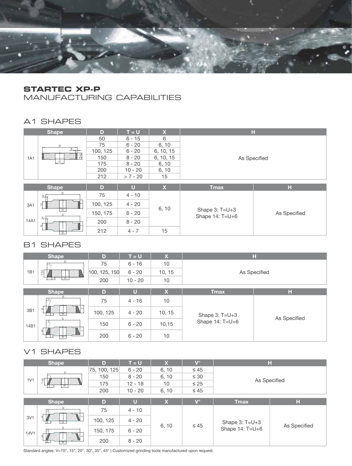

## **STARTEC XP-P**

MANUFACTURING CAPABILITIES

## A1 SHAPES

|            | <b>Shape</b>       | D        | $T = U$    | $\mathbf x$  |                                     | H            |  |  |  |  |
|------------|--------------------|----------|------------|--------------|-------------------------------------|--------------|--|--|--|--|
|            |                    | 50       | $6 - 15$   | 6            |                                     |              |  |  |  |  |
|            | D                  | 75       | $6 - 20$   | 6, 10        |                                     |              |  |  |  |  |
|            |                    | 100, 125 | $6 - 20$   | 6, 10, 15    |                                     |              |  |  |  |  |
| <b>1A1</b> | 립                  | 150      | $8 - 20$   | 6, 10, 15    | As Specified                        |              |  |  |  |  |
|            | 一                  | 175      | $8 - 20$   | 6, 10        |                                     |              |  |  |  |  |
|            |                    | 200      | $10 - 20$  | 6, 10        |                                     |              |  |  |  |  |
|            |                    | 212      | $> 7 - 20$ | 15           |                                     |              |  |  |  |  |
|            |                    |          |            |              |                                     |              |  |  |  |  |
|            | <b>Shape</b>       | D        | U          | $\mathbf{x}$ | <b>Tmax</b>                         | н            |  |  |  |  |
|            | $\times$           | 75       | $4 - 10$   |              | Shape $3: T=U+3$<br>Shape 14: T=U+6 |              |  |  |  |  |
| 3A1        | ∍<br>Ĥ<br>$\times$ | 100, 125 | $4 - 20$   | 6, 10        |                                     |              |  |  |  |  |
|            |                    | 150, 175 | $6 - 20$   |              |                                     | As Specified |  |  |  |  |
| 14A1       |                    | 200      | $8 - 20$   |              |                                     |              |  |  |  |  |
|            |                    |          |            |              |                                     |              |  |  |  |  |

### B1 SHAPES

|      | <b>Shape</b>                         | D             | $T = U$   | $\mathbf x$ |                  | н            |  |  |  |  |
|------|--------------------------------------|---------------|-----------|-------------|------------------|--------------|--|--|--|--|
|      | D                                    | 75            | $6 - 16$  | 10          | As Specified     |              |  |  |  |  |
| 1B1  | Ξ                                    | 100, 125, 150 | $6 - 20$  | 10, 15      |                  |              |  |  |  |  |
|      | 正                                    | 200           | $10 - 20$ | 10          |                  |              |  |  |  |  |
|      |                                      |               |           |             |                  |              |  |  |  |  |
|      | <b>Shape</b>                         | D             | $\bf U$   | X.          | <b>Tmax</b>      | н            |  |  |  |  |
|      |                                      | 75            | $4 - 16$  | 10          |                  |              |  |  |  |  |
| 3B1  | <b>H</b><br>D.<br>$\Rightarrow$<br>Ĥ | 100, 125      | $4 - 20$  | 10, 15      | Shape $3: T=U+3$ |              |  |  |  |  |
| 14B1 |                                      | 150           | $6 - 20$  | 10, 15      | Shape 14: T=U+6  | As Specified |  |  |  |  |
|      |                                      | 200           | $6 - 20$  | 10          |                  |              |  |  |  |  |

## V1 SHAPES

|                  | <b>Shape</b>   | D            | $T = U$   | $\mathbf x$ | $\mathbf{V}^{\circ}$ |                                     | н            |  |
|------------------|----------------|--------------|-----------|-------------|----------------------|-------------------------------------|--------------|--|
| 1 <sub>V</sub> 1 | D.             | 75, 100, 125 | $6 - 20$  | 6, 10       | $\leq 45$            | As Specified                        |              |  |
|                  | 희              | 150          | $8 - 20$  | 6, 10       | $\leq 30$            |                                     |              |  |
|                  | H              | 175          | $12 - 18$ | 10          | $\leq 25$            |                                     |              |  |
|                  |                | 200          | $10 - 20$ | 6, 10       | $\leq 45$            |                                     |              |  |
|                  |                |              |           |             |                      |                                     |              |  |
|                  | <b>Shape</b>   | D            | U         | $\mathbf x$ | $\mathbf{V}^{\circ}$ | <b>Tmax</b>                         | н            |  |
|                  |                | 75           | $4 - 10$  | 6, 10       | $\leq 45$            | Shape $3: T=U+3$<br>Shape 14: T=U+6 |              |  |
| 3V1              | $\overline{H}$ | 100, 125     | $4 - 20$  |             |                      |                                     | As Specified |  |
| 14V1             | Ĥ.             | 150, 175     | $6 - 20$  |             |                      |                                     |              |  |
|                  |                | 200          | $8 - 20$  |             |                      |                                     |              |  |

Standard angles: V=10°, 15°, 20°, 30°, 35°, 45° | Customized grinding tools manufactured upon request.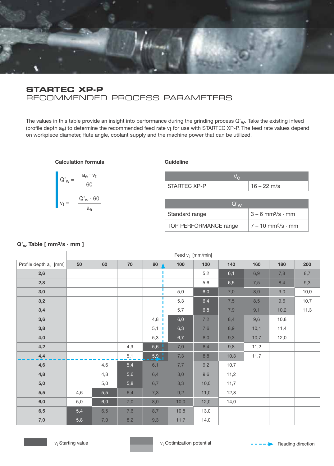

### **STARTEC XP-P** RECOMMENDED PROCESS PARAMETERS

The values in this table provide an insight into performance during the grinding process  $Q'_{W}$ . Take the existing infeed (profile depth  $a_e$ ) to determine the recommended feed rate  $v_t$  for use with STARTEC XP-P. The feed rate values depend on workpiece diameter, flute angle, coolant supply and the machine power that can be utilized.

**Calculation formula**



#### **Guideline**

| <b>STARTEC XP-P</b> | $16 - 22$ m/s |
|---------------------|---------------|

| $Q'_{M'}$             |                                  |
|-----------------------|----------------------------------|
| Standard range        | $3 - 6$ mm <sup>3</sup> /s · mm  |
| TOP PERFORMANCE range | $7 - 10$ mm <sup>3</sup> /s · mm |

#### **Q'w Table [ mm3/s . mm ]**

|                                   | Feed $v_t$ [mm/min] |     |     |        |      |      |      |      |      |      |
|-----------------------------------|---------------------|-----|-----|--------|------|------|------|------|------|------|
| Profile depth a <sub>e</sub> [mm] | 50                  | 60  | 70  | 80     | 100  | 120  | 140  | 160  | 180  | 200  |
| 2,6                               |                     |     |     |        |      | 5,2  | 6,1  | 6,9  | 7,8  | 8,7  |
| 2,8                               |                     |     |     | ٠<br>٠ |      | 5,6  | 6,5  | 7,5  | 8,4  | 9,3  |
| 3,0                               |                     |     |     | т      | 5,0  | 6,0  | 7,0  | 8,0  | 9,0  | 10,0 |
| 3,2                               |                     |     |     |        | 5,3  | 6,4  | 7,5  | 8,5  | 9,6  | 10,7 |
| 3,4                               |                     |     |     |        | 5,7  | 6,8  | 7,9  | 9,1  | 10,2 | 11,3 |
| 3,6                               |                     |     |     | 4,8    | 6,0  | 7,2  | 8,4  | 9,6  | 10,8 |      |
| 3,8                               |                     |     |     | 5,1    | 6,3  | 7,6  | 8,9  | 10,1 | 11,4 |      |
| 4,0                               |                     |     |     | 5,3    | 6,7  | 8,0  | 9,3  | 10,7 | 12,0 |      |
| 4,2                               |                     |     | 4,9 | 5,6    | 7,0  | 8,4  | 9,8  | 11,2 |      |      |
| $\frac{4.4}{4}$                   |                     |     | 5,1 | 5,9    | 7,3  | 8,8  | 10,3 | 11,7 |      |      |
| 4,6                               |                     | 4,6 | 5,4 | 6,1    | 7,7  | 9,2  | 10,7 |      |      |      |
| 4,8                               |                     | 4,8 | 5,6 | 6,4    | 8,0  | 9,6  | 11,2 |      |      |      |
| 5,0                               |                     | 5,0 | 5,8 | 6,7    | 8,3  | 10,0 | 11,7 |      |      |      |
| 5,5                               | 4,6                 | 5,5 | 6,4 | 7,3    | 9,2  | 11,0 | 12,8 |      |      |      |
| 6,0                               | 5,0                 | 6,0 | 7,0 | 8,0    | 10,0 | 12,0 | 14,0 |      |      |      |
| 6,5                               | 5,4                 | 6,5 | 7,6 | 8,7    | 10,8 | 13,0 |      |      |      |      |
| 7,0                               | 5,8                 | 7,0 | 8,2 | 9,3    | 11,7 | 14,0 |      |      |      |      |

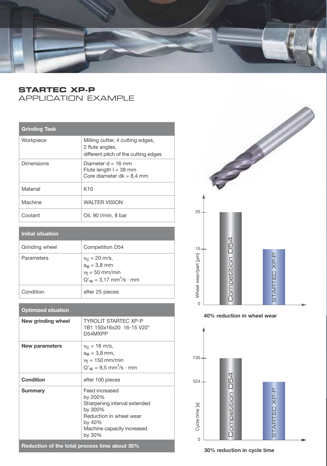

## **STARTEC XP-P**  APPLICATION EXAMPLE

## **Grinding Task**

| Workpiece         | Milling cutter, 4 cutting edges,<br>2 flute angles,<br>different pitch of the cutting edges |
|-------------------|---------------------------------------------------------------------------------------------|
| <b>Dimensions</b> | Diameter $d = 16$ mm<br>Flute length $l = 38$ mm<br>Core diameter $dk = 8.4$ mm             |
| Material          | K <sub>10</sub>                                                                             |
| Machine           | <b>WALTER VISION</b>                                                                        |
| Coolant           | Oil, 90 I/min, 8 bar                                                                        |

| Initial situation |                                                                                                            |
|-------------------|------------------------------------------------------------------------------------------------------------|
| Grinding wheel    | Competition D54                                                                                            |
| Parameters        | $v_{C} = 20$ m/s,<br>$a_{\theta} = 3.8$ mm<br>$v_t = 50$ mm/min<br>$Q'_{W} = 3.17$ mm <sup>3</sup> /s · mm |
| Condition         | after 25 pieces                                                                                            |

#### **Optimized situation**

| New grinding wheel                            | <b>TYROLIT STARTEC XP-P</b><br>1B1 150x16x20 16-15 V20°<br>D54MXPP                                                                                |  |  |
|-----------------------------------------------|---------------------------------------------------------------------------------------------------------------------------------------------------|--|--|
| New parameters                                | $v_c = 18$ m/s,<br>a <sub>≏</sub> = 3,8 mm,<br>$v_t = 150$ mm/min<br>$Q'_{W} = 9.5$ mm <sup>3</sup> /s · mm                                       |  |  |
| <b>Condition</b>                              | after 100 pieces                                                                                                                                  |  |  |
| <b>Summary</b>                                | Feed increased<br>by 200%<br>Sharpening interval extended<br>by 300%<br>Reduction in wheel wear<br>by 40%<br>Machine capacity increased<br>by 30% |  |  |
| Reduction of the total process time about 30% |                                                                                                                                                   |  |  |



**40% reduction in wheel wear**



**30% reduction in cycle time**